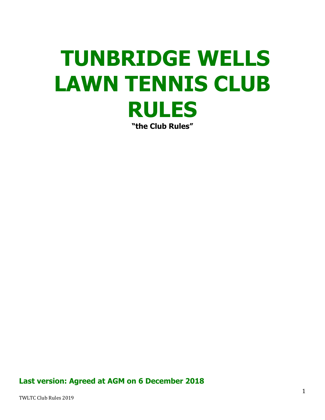# **TUNBRIDGE WELLS LAWN TENNIS CLUB RULES "the Club Rules"**

**Last version: Agreed at AGM on 6 December 2018**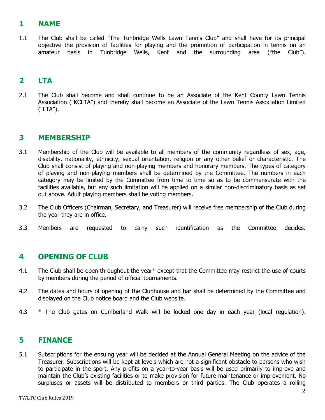## **1 NAME**

1.1 The Club shall be called "The Tunbridge Wells Lawn Tennis Club" and shall have for its principal objective the provision of facilities for playing and the promotion of participation in tennis on an amateur basis in Tunbridge Wells, Kent and the surrounding area ("the Club").

## **2 LTA**

2.1 The Club shall become and shall continue to be an Associate of the Kent County Lawn Tennis Association ("KCLTA") and thereby shall become an Associate of the Lawn Tennis Association Limited ("LTA").

## **3 MEMBERSHIP**

- 3.1 Membership of the Club will be available to all members of the community regardless of sex, age, disability, nationality, ethnicity, sexual orientation, religion or any other belief or characteristic. The Club shall consist of playing and non-playing members and honorary members. The types of category of playing and non-playing members shall be determined by the Committee. The numbers in each category may be limited by the Committee from time to time so as to be commensurate with the facilities available, but any such limitation will be applied on a similar non-discriminatory basis as set out above. Adult playing members shall be voting members.
- 3.2 The Club Officers (Chairman, Secretary, and Treasurer) will receive free membership of the Club during the year they are in office.
- 3.3 Members are requested to carry such identification as the Committee decides.

## **4 OPENING OF CLUB**

- 4.1 The Club shall be open throughout the year\* except that the Committee may restrict the use of courts by members during the period of official tournaments.
- 4.2 The dates and hours of opening of the Clubhouse and bar shall be determined by the Committee and displayed on the Club notice board and the Club website.
- 4.3 \* The Club gates on Cumberland Walk will be locked one day in each year (local regulation).

## **5 FINANCE**

5.1 Subscriptions for the ensuing year will be decided at the Annual General Meeting on the advice of the Treasurer. Subscriptions will be kept at levels which are not a significant obstacle to persons who wish to participate in the sport. Any profits on a year-to-year basis will be used primarily to improve and maintain the Club's existing facilities or to make provision for future maintenance or improvement. No surpluses or assets will be distributed to members or third parties. The Club operates a rolling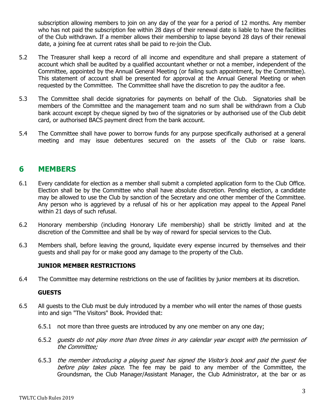subscription allowing members to join on any day of the year for a period of 12 months. Any member who has not paid the subscription fee within 28 days of their renewal date is liable to have the facilities of the Club withdrawn. If a member allows their membership to lapse beyond 28 days of their renewal date, a joining fee at current rates shall be paid to re-join the Club.

- 5.2 The Treasurer shall keep a record of all income and expenditure and shall prepare a statement of account which shall be audited by a qualified accountant whether or not a member, independent of the Committee, appointed by the Annual General Meeting (or failing such appointment, by the Committee). This statement of account shall be presented for approval at the Annual General Meeting or when requested by the Committee. The Committee shall have the discretion to pay the auditor a fee.
- 5.3 The Committee shall decide signatories for payments on behalf of the Club. Signatories shall be members of the Committee and the management team and no sum shall be withdrawn from a Club bank account except by cheque signed by two of the signatories or by authorised use of the Club debit card, or authorised BACS payment direct from the bank account.
- 5.4 The Committee shall have power to borrow funds for any purpose specifically authorised at a general meeting and may issue debentures secured on the assets of the Club or raise loans.

## **6 MEMBERS**

- 6.1 Every candidate for election as a member shall submit a completed application form to the Club Office. Election shall be by the Committee who shall have absolute discretion. Pending election, a candidate may be allowed to use the Club by sanction of the Secretary and one other member of the Committee. Any person who is aggrieved by a refusal of his or her application may appeal to the Appeal Panel within 21 days of such refusal.
- 6.2 Honorary membership (including Honorary Life membership) shall be strictly limited and at the discretion of the Committee and shall be by way of reward for special services to the Club.
- 6.3 Members shall, before leaving the ground, liquidate every expense incurred by themselves and their guests and shall pay for or make good any damage to the property of the Club.

#### **JUNIOR MEMBER RESTRICTIONS**

6.4 The Committee may determine restrictions on the use of facilities by junior members at its discretion.

#### **GUESTS**

- 6.5 All guests to the Club must be duly introduced by a member who will enter the names of those guests into and sign "The Visitors" Book. Provided that:
	- 6.5.1 not more than three guests are introduced by any one member on any one day;
	- 6.5.2 quests do not play more than three times in any calendar year except with the permission of the Committee;
	- 6.5.3 the member introducing a playing guest has signed the Visitor'<sup>s</sup> book and paid the guest fee before play takes place. The fee may be paid to any member of the Committee, the Groundsman, the Club Manager/Assistant Manager, the Club Administrator, at the bar or as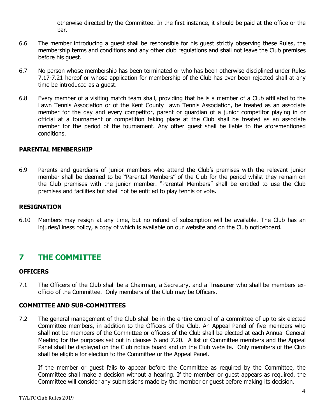otherwise directed by the Committee. In the first instance, it should be paid at the office or the bar.

- 6.6 The member introducing a guest shall be responsible for his guest strictly observing these Rules, the membership terms and conditions and any other club regulations and shall not leave the Club premises before his guest.
- 6.7 No person whose membership has been terminated or who has been otherwise disciplined under Rules 7.17-7.21 hereof or whose application for membership of the Club has ever been rejected shall at any time be introduced as a guest.
- 6.8 Every member of a visiting match team shall, providing that he is a member of a Club affiliated to the Lawn Tennis Association or of the Kent County Lawn Tennis Association, be treated as an associate member for the day and every competitor, parent or guardian of a junior competitor playing in or official at a tournament or competition taking place at the Club shall be treated as an associate member for the period of the tournament. Any other guest shall be liable to the aforementioned conditions.

#### **PARENTAL MEMBERSHIP**

6.9 Parents and guardians of junior members who attend the Club's premises with the relevant junior member shall be deemed to be "Parental Members" of the Club for the period whilst they remain on the Club premises with the junior member. "Parental Members" shall be entitled to use the Club premises and facilities but shall not be entitled to play tennis or vote.

#### **RESIGNATION**

6.10 Members may resign at any time, but no refund of subscription will be available. The Club has an injuries/illness policy, a copy of which is available on our website and on the Club noticeboard.

## **7 THE COMMITTEE**

#### **OFFICERS**

7.1 The Officers of the Club shall be a Chairman, a Secretary, and a Treasurer who shall be members exofficio of the Committee. Only members of the Club may be Officers.

#### **COMMITTEE AND SUB-COMMITTEES**

7.2 The general management of the Club shall be in the entire control of a committee of up to six elected Committee members, in addition to the Officers of the Club. An Appeal Panel of five members who shall not be members of the Committee or officers of the Club shall be elected at each Annual General Meeting for the purposes set out in clauses 6 and 7.20. A list of Committee members and the Appeal Panel shall be displayed on the Club notice board and on the Club website. Only members of the Club shall be eligible for election to the Committee or the Appeal Panel.

If the member or guest fails to appear before the Committee as required by the Committee, the Committee shall make a decision without a hearing. If the member or guest appears as required, the Committee will consider any submissions made by the member or guest before making its decision.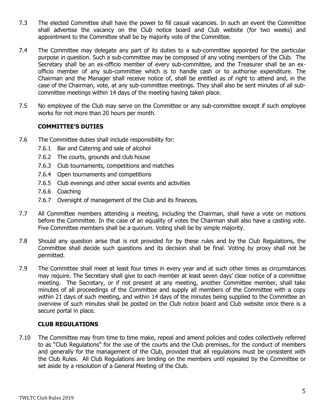- 7.3 The elected Committee shall have the power to fill casual vacancies. In such an event the Committee shall advertise the vacancy on the Club notice board and Club website (for two weeks) and appointment to the Committee shall be by majority vote of the Committee.
- 7.4 The Committee may delegate any part of its duties to a sub-committee appointed for the particular purpose in question. Such a sub-committee may be composed of any voting members of the Club. The Secretary shall be an ex-officio member of every sub-committee, and the Treasurer shall be an exofficio member of any sub-committee which is to handle cash or to authorise expenditure. The Chairman and the Manager shall receive notice of, shall be entitled as of right to attend and, in the case of the Chairman, vote, at any sub-committee meetings. They shall also be sent minutes of all subcommittee meetings within 14 days of the meeting having taken place.
- 7.5 No employee of the Club may serve on the Committee or any sub-committee except if such employee works for not more than 20 hours per month.

#### **COMMITTEE'S DUTIES**

- 7.6 The Committee duties shall include responsibility for:
	- 7.6.1 Bar and Catering and sale of alcohol
	- 7.6.2 The courts, grounds and club house
	- 7.6.3 Club tournaments, competitions and matches
	- 7.6.4 Open tournaments and competitions
	- 7.6.5 Club evenings and other social events and activities
	- 7.6.6 Coaching
	- 7.6.7 Oversight of management of the Club and its finances.
- 7.7 All Committee members attending a meeting, including the Chairman, shall have a vote on motions before the Committee. In the case of an equality of votes the Chairman shall also have a casting vote. Five Committee members shall be a quorum. Voting shall be by simple majority.
- 7.8 Should any question arise that is not provided for by these rules and by the Club Regulations, the Committee shall decide such questions and its decision shall be final. Voting by proxy shall not be permitted.
- 7.9 The Committee shall meet at least four times in every year and at such other times as circumstances may require. The Secretary shall give to each member at least seven days' clear notice of a committee meeting. The Secretary, or if not present at any meeting, another Committee member, shall take minutes of all proceedings of the Committee and supply all members of the Committee with a copy within 21 days of such meeting, and within 14 days of the minutes being supplied to the Committee an overview of such minutes shall be posted on the Club notice board and Club website once there is a secure portal in place.

#### **CLUB REGULATIONS**

7.10 The Committee may from time to time make, repeal and amend policies and codes collectively referred to as "Club Regulations" for the use of the courts and the Club premises, for the conduct of members and generally for the management of the Club, provided that all regulations must be consistent with the Club Rules. All Club Regulations are binding on the members until repealed by the Committee or set aside by a resolution of a General Meeting of the Club.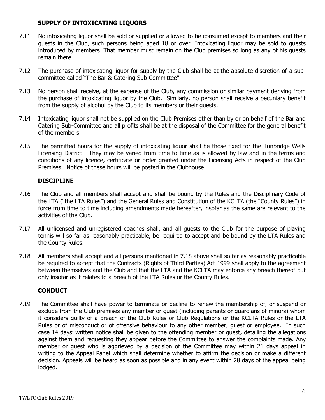#### **SUPPLY OF INTOXICATING LIQUORS**

- 7.11 No intoxicating liquor shall be sold or supplied or allowed to be consumed except to members and their guests in the Club, such persons being aged 18 or over. Intoxicating liquor may be sold to guests introduced by members. That member must remain on the Club premises so long as any of his guests remain there.
- 7.12 The purchase of intoxicating liquor for supply by the Club shall be at the absolute discretion of a subcommittee called "The Bar & Catering Sub-Committee".
- 7.13 No person shall receive, at the expense of the Club, any commission or similar payment deriving from the purchase of intoxicating liquor by the Club. Similarly, no person shall receive a pecuniary benefit from the supply of alcohol by the Club to its members or their guests.
- 7.14 Intoxicating liquor shall not be supplied on the Club Premises other than by or on behalf of the Bar and Catering Sub-Committee and all profits shall be at the disposal of the Committee for the general benefit of the members.
- 7.15 The permitted hours for the supply of intoxicating liquor shall be those fixed for the Tunbridge Wells Licensing District. They may be varied from time to time as is allowed by law and in the terms and conditions of any licence, certificate or order granted under the Licensing Acts in respect of the Club Premises. Notice of these hours will be posted in the Clubhouse.

#### **DISCIPLINE**

- 7.16 The Club and all members shall accept and shall be bound by the Rules and the Disciplinary Code of the LTA ("the LTA Rules") and the General Rules and Constitution of the KCLTA (the "County Rules") in force from time to time including amendments made hereafter, insofar as the same are relevant to the activities of the Club.
- 7.17 All unlicensed and unregistered coaches shall, and all guests to the Club for the purpose of playing tennis will so far as reasonably practicable, be required to accept and be bound by the LTA Rules and the County Rules.
- 7.18 All members shall accept and all persons mentioned in 7.18 above shall so far as reasonably practicable be required to accept that the Contracts (Rights of Third Parties) Act 1999 shall apply to the agreement between themselves and the Club and that the LTA and the KCLTA may enforce any breach thereof but only insofar as it relates to a breach of the LTA Rules or the County Rules.

#### **CONDUCT**

7.19 The Committee shall have power to terminate or decline to renew the membership of, or suspend or exclude from the Club premises any member or guest (including parents or guardians of minors) whom it considers guilty of a breach of the Club Rules or Club Regulations or the KCLTA Rules or the LTA Rules or of misconduct or of offensive behaviour to any other member, guest or employee. In such case 14 days' written notice shall be given to the offending member or guest, detailing the allegations against them and requesting they appear before the Committee to answer the complaints made. Any member or guest who is aggrieved by a decision of the Committee may within 21 days appeal in writing to the Appeal Panel which shall determine whether to affirm the decision or make a different decision. Appeals will be heard as soon as possible and in any event within 28 days of the appeal being lodged.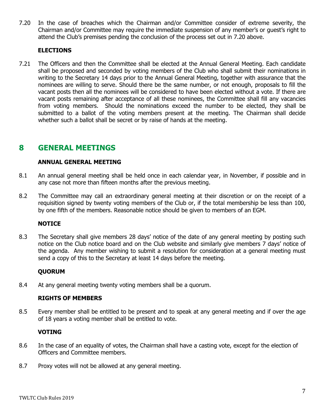7.20 In the case of breaches which the Chairman and/or Committee consider of extreme severity, the Chairman and/or Committee may require the immediate suspension of any member's or guest's right to attend the Club's premises pending the conclusion of the process set out in 7.20 above.

#### **ELECTIONS**

7.21 The Officers and then the Committee shall be elected at the Annual General Meeting. Each candidate shall be proposed and seconded by voting members of the Club who shall submit their nominations in writing to the Secretary 14 days prior to the Annual General Meeting, together with assurance that the nominees are willing to serve. Should there be the same number, or not enough, proposals to fill the vacant posts then all the nominees will be considered to have been elected without a vote. If there are vacant posts remaining after acceptance of all these nominees, the Committee shall fill any vacancies from voting members. Should the nominations exceed the number to be elected, they shall be submitted to a ballot of the voting members present at the meeting. The Chairman shall decide whether such a ballot shall be secret or by raise of hands at the meeting.

## **8 GENERAL MEETINGS**

#### **ANNUAL GENERAL MEETING**

- 8.1 An annual general meeting shall be held once in each calendar year, in November, if possible and in any case not more than fifteen months after the previous meeting.
- 8.2 The Committee may call an extraordinary general meeting at their discretion or on the receipt of a requisition signed by twenty voting members of the Club or, if the total membership be less than 100, by one fifth of the members. Reasonable notice should be given to members of an EGM.

#### **NOTICE**

8.3 The Secretary shall give members 28 days' notice of the date of any general meeting by posting such notice on the Club notice board and on the Club website and similarly give members 7 days' notice of the agenda. Any member wishing to submit a resolution for consideration at a general meeting must send a copy of this to the Secretary at least 14 days before the meeting.

#### **QUORUM**

8.4 At any general meeting twenty voting members shall be a quorum.

#### **RIGHTS OF MEMBERS**

8.5 Every member shall be entitled to be present and to speak at any general meeting and if over the age of 18 years a voting member shall be entitled to vote.

#### **VOTING**

- 8.6 In the case of an equality of votes, the Chairman shall have a casting vote, except for the election of Officers and Committee members.
- 8.7 Proxy votes will not be allowed at any general meeting.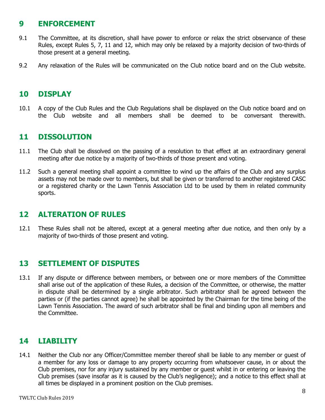## **9 ENFORCEMENT**

- 9.1 The Committee, at its discretion, shall have power to enforce or relax the strict observance of these Rules, except Rules 5, 7, 11 and 12, which may only be relaxed by a majority decision of two-thirds of those present at a general meeting.
- 9.2 Any relaxation of the Rules will be communicated on the Club notice board and on the Club website.

## **10 DISPLAY**

10.1 A copy of the Club Rules and the Club Regulations shall be displayed on the Club notice board and on the Club website and all members shall be deemed to be conversant therewith.

## **11 DISSOLUTION**

- 11.1 The Club shall be dissolved on the passing of a resolution to that effect at an extraordinary general meeting after due notice by a majority of two-thirds of those present and voting.
- 11.2 Such a general meeting shall appoint a committee to wind up the affairs of the Club and any surplus assets may not be made over to members, but shall be given or transferred to another registered CASC or a registered charity or the Lawn Tennis Association Ltd to be used by them in related community sports.

## **12 ALTERATION OF RULES**

12.1 These Rules shall not be altered, except at a general meeting after due notice, and then only by a majority of two-thirds of those present and voting.

## **13 SETTLEMENT OF DISPUTES**

13.1 If any dispute or difference between members, or between one or more members of the Committee shall arise out of the application of these Rules, a decision of the Committee, or otherwise, the matter in dispute shall be determined by a single arbitrator. Such arbitrator shall be agreed between the parties or (if the parties cannot agree) he shall be appointed by the Chairman for the time being of the Lawn Tennis Association. The award of such arbitrator shall be final and binding upon all members and the Committee.

## **14 LIABILITY**

14.1 Neither the Club nor any Officer/Committee member thereof shall be liable to any member or guest of a member for any loss or damage to any property occurring from whatsoever cause, in or about the Club premises, nor for any injury sustained by any member or guest whilst in or entering or leaving the Club premises (save insofar as it is caused by the Club's negligence); and a notice to this effect shall at all times be displayed in a prominent position on the Club premises.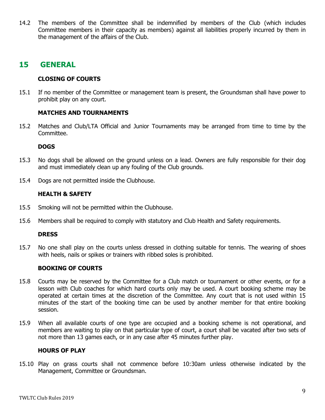14.2 The members of the Committee shall be indemnified by members of the Club (which includes Committee members in their capacity as members) against all liabilities properly incurred by them in the management of the affairs of the Club.

### **15 GENERAL**

#### **CLOSING OF COURTS**

15.1 If no member of the Committee or management team is present, the Groundsman shall have power to prohibit play on any court.

#### **MATCHES AND TOURNAMENTS**

15.2 Matches and Club/LTA Official and Junior Tournaments may be arranged from time to time by the Committee.

#### **DOGS**

- 15.3 No dogs shall be allowed on the ground unless on a lead. Owners are fully responsible for their dog and must immediately clean up any fouling of the Club grounds.
- 15.4 Dogs are not permitted inside the Clubhouse.

#### **HEALTH & SAFETY**

- 15.5 Smoking will not be permitted within the Clubhouse.
- 15.6 Members shall be required to comply with statutory and Club Health and Safety requirements.

#### **DRESS**

15.7 No one shall play on the courts unless dressed in clothing suitable for tennis. The wearing of shoes with heels, nails or spikes or trainers with ribbed soles is prohibited.

#### **BOOKING OF COURTS**

- 15.8 Courts may be reserved by the Committee for a Club match or tournament or other events, or for a lesson with Club coaches for which hard courts only may be used. A court booking scheme may be operated at certain times at the discretion of the Committee. Any court that is not used within 15 minutes of the start of the booking time can be used by another member for that entire booking session.
- 15.9 When all available courts of one type are occupied and a booking scheme is not operational, and members are waiting to play on that particular type of court, a court shall be vacated after two sets of not more than 13 games each, or in any case after 45 minutes further play.

#### **HOURS OF PLAY**

15.10 Play on grass courts shall not commence before 10:30am unless otherwise indicated by the Management, Committee or Groundsman.